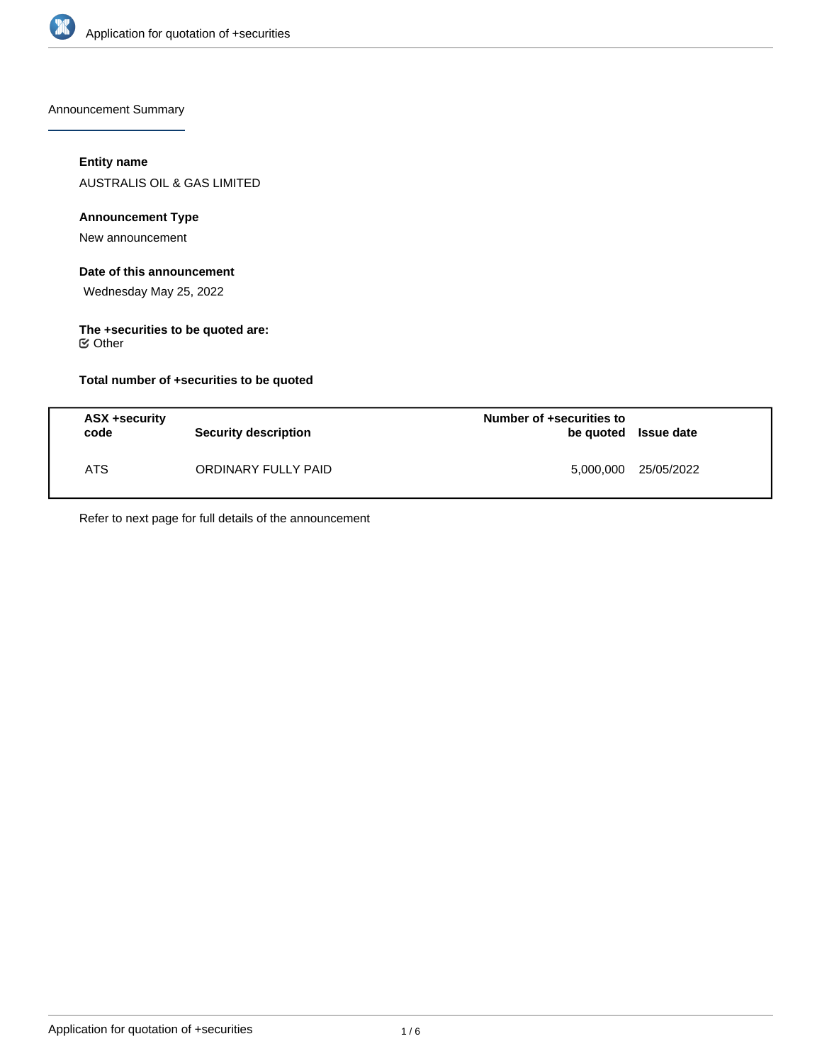

Announcement Summary

# **Entity name**

AUSTRALIS OIL & GAS LIMITED

## **Announcement Type**

New announcement

# **Date of this announcement**

Wednesday May 25, 2022

# **The +securities to be quoted are:**

Other

## **Total number of +securities to be quoted**

| ASX +security<br>code | <b>Security description</b> | Number of +securities to<br>be quoted Issue date |                      |
|-----------------------|-----------------------------|--------------------------------------------------|----------------------|
| ATS.                  | ORDINARY FULLY PAID         |                                                  | 5,000,000 25/05/2022 |

Refer to next page for full details of the announcement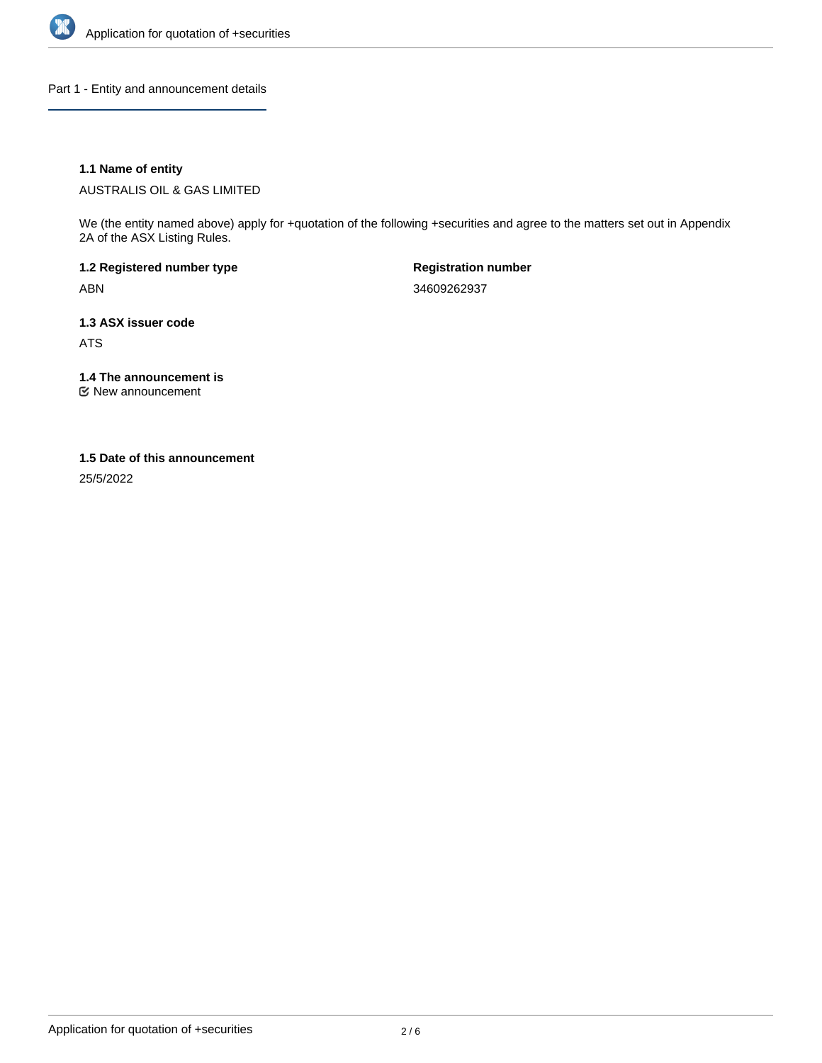

Part 1 - Entity and announcement details

## **1.1 Name of entity**

AUSTRALIS OIL & GAS LIMITED

We (the entity named above) apply for +quotation of the following +securities and agree to the matters set out in Appendix 2A of the ASX Listing Rules.

**1.2 Registered number type** ABN

**Registration number** 34609262937

**1.3 ASX issuer code** ATS

**1.4 The announcement is**

New announcement

#### **1.5 Date of this announcement**

25/5/2022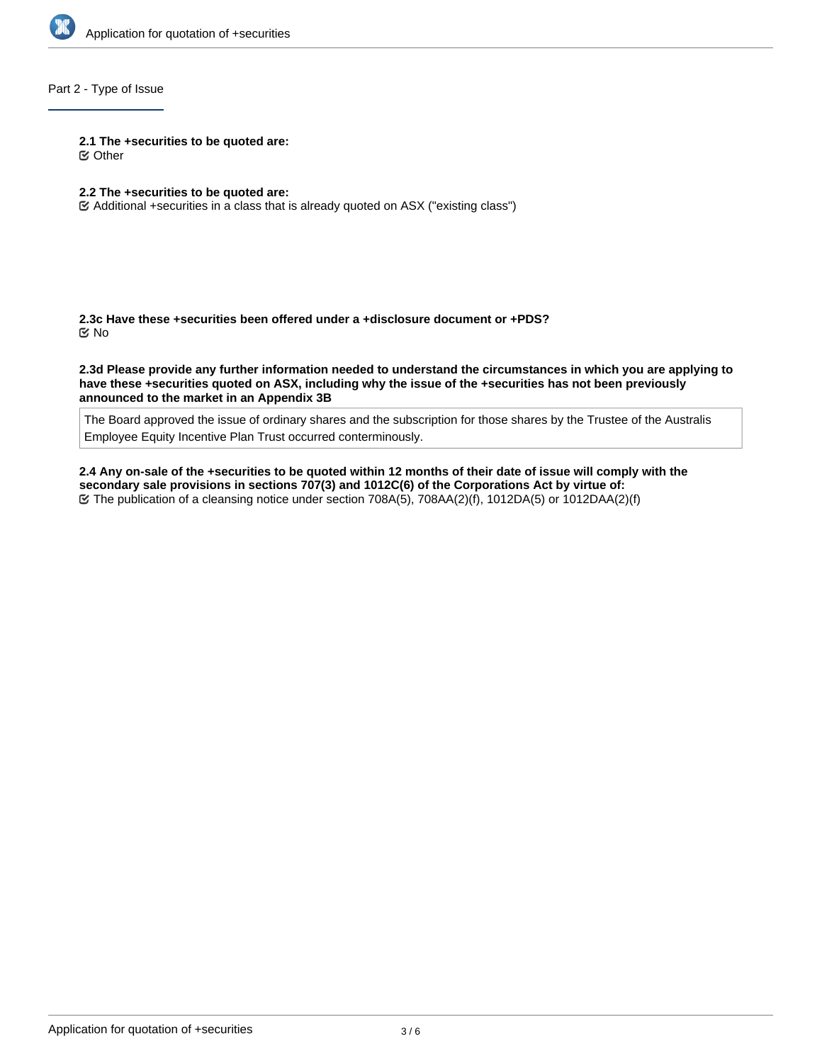

## Part 2 - Type of Issue

**2.1 The +securities to be quoted are:**

Other

- **2.2 The +securities to be quoted are:**
- Additional +securities in a class that is already quoted on ASX ("existing class")

**2.3c Have these +securities been offered under a +disclosure document or +PDS?** No

**2.3d Please provide any further information needed to understand the circumstances in which you are applying to have these +securities quoted on ASX, including why the issue of the +securities has not been previously announced to the market in an Appendix 3B**

The Board approved the issue of ordinary shares and the subscription for those shares by the Trustee of the Australis Employee Equity Incentive Plan Trust occurred conterminously.

**2.4 Any on-sale of the +securities to be quoted within 12 months of their date of issue will comply with the secondary sale provisions in sections 707(3) and 1012C(6) of the Corporations Act by virtue of:** The publication of a cleansing notice under section 708A(5), 708AA(2)(f), 1012DA(5) or 1012DAA(2)(f)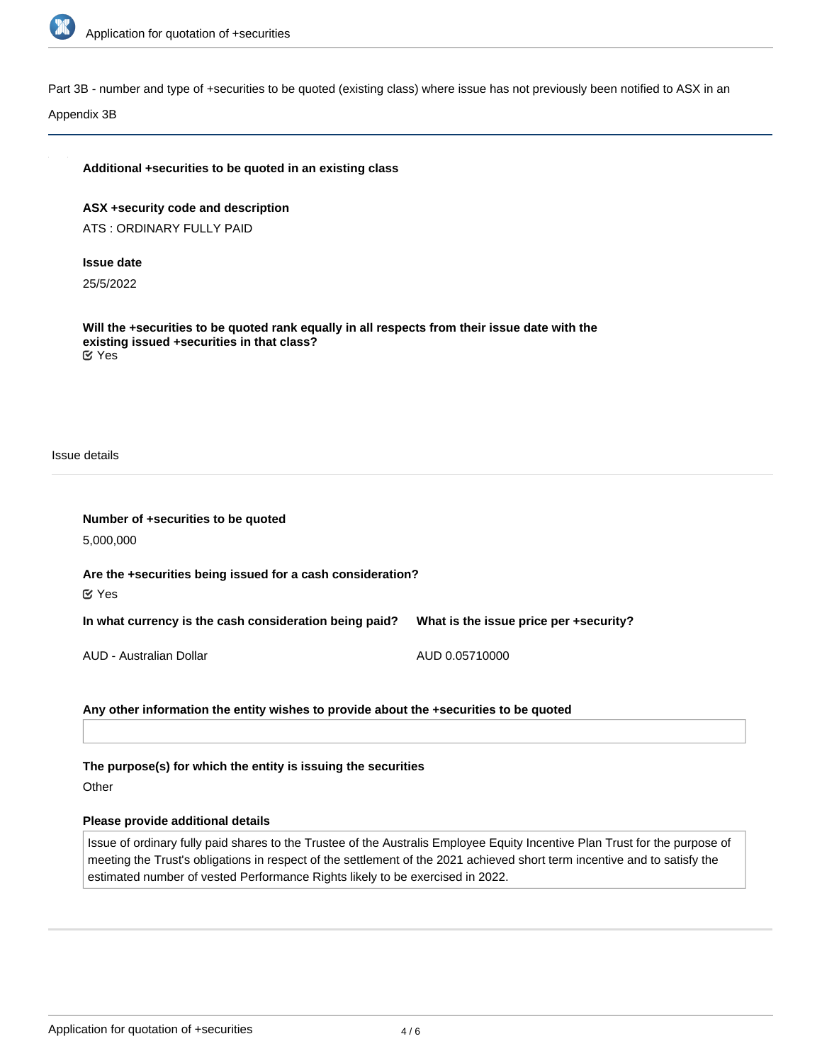

Part 3B - number and type of +securities to be quoted (existing class) where issue has not previously been notified to ASX in an

Appendix 3B

## **Additional +securities to be quoted in an existing class**

**ASX +security code and description** ATS : ORDINARY FULLY PAID

#### **Issue date**

25/5/2022

**Will the +securities to be quoted rank equally in all respects from their issue date with the existing issued +securities in that class?** Yes

Issue details

| Number of +securities to be quoted<br>5,000,000                                  |                                        |
|----------------------------------------------------------------------------------|----------------------------------------|
| Are the +securities being issued for a cash consideration?<br>$\mathfrak{C}$ Yes |                                        |
| In what currency is the cash consideration being paid?                           | What is the issue price per +security? |
| AUD - Australian Dollar                                                          | AUD 0.05710000                         |

## **Any other information the entity wishes to provide about the +securities to be quoted**

**The purpose(s) for which the entity is issuing the securities**

**Other** 

#### **Please provide additional details**

Issue of ordinary fully paid shares to the Trustee of the Australis Employee Equity Incentive Plan Trust for the purpose of meeting the Trust's obligations in respect of the settlement of the 2021 achieved short term incentive and to satisfy the estimated number of vested Performance Rights likely to be exercised in 2022.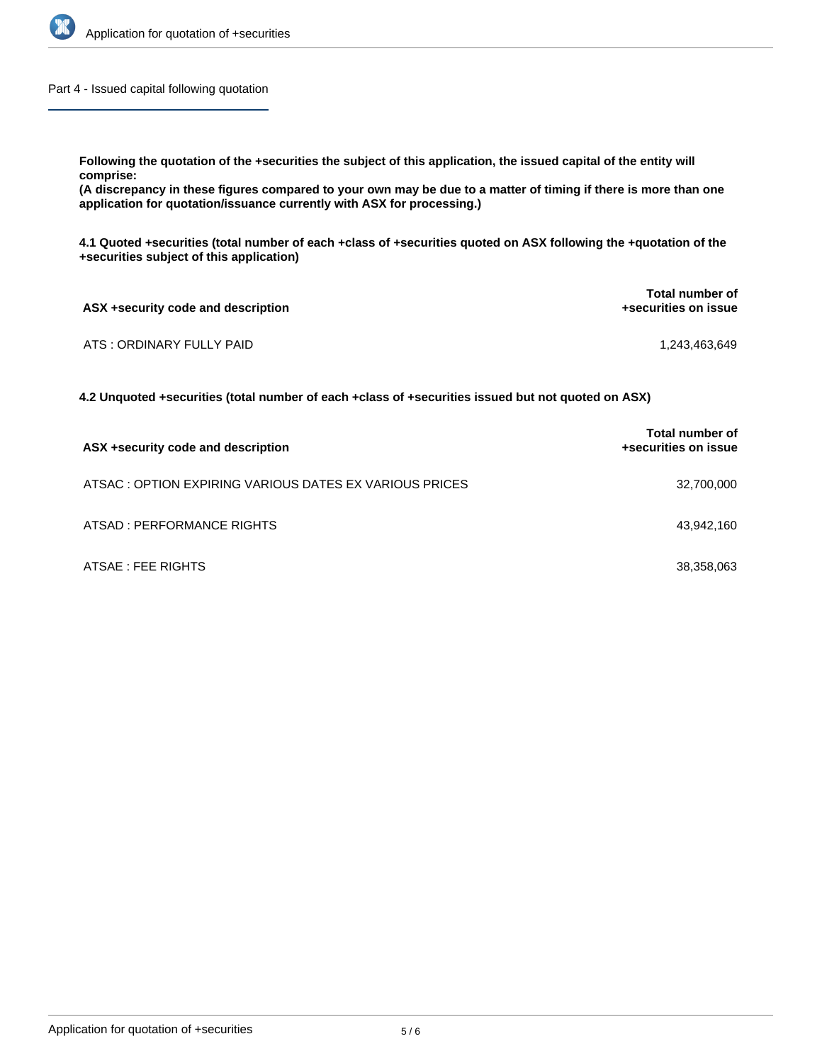

Part 4 - Issued capital following quotation

**Following the quotation of the +securities the subject of this application, the issued capital of the entity will comprise:**

**(A discrepancy in these figures compared to your own may be due to a matter of timing if there is more than one application for quotation/issuance currently with ASX for processing.)**

**4.1 Quoted +securities (total number of each +class of +securities quoted on ASX following the +quotation of the +securities subject of this application)**

| ASX +security code and description | <b>Total number of</b><br>+securities on issue |
|------------------------------------|------------------------------------------------|
| ATS : ORDINARY FULLY PAID          | 1,243,463,649                                  |

**4.2 Unquoted +securities (total number of each +class of +securities issued but not quoted on ASX)**

| ASX +security code and description                     | Total number of<br>+securities on issue |
|--------------------------------------------------------|-----------------------------------------|
| ATSAC: OPTION EXPIRING VARIOUS DATES EX VARIOUS PRICES | 32,700,000                              |
| ATSAD : PERFORMANCE RIGHTS                             | 43,942,160                              |
| ATSAE : FEE RIGHTS                                     | 38,358,063                              |